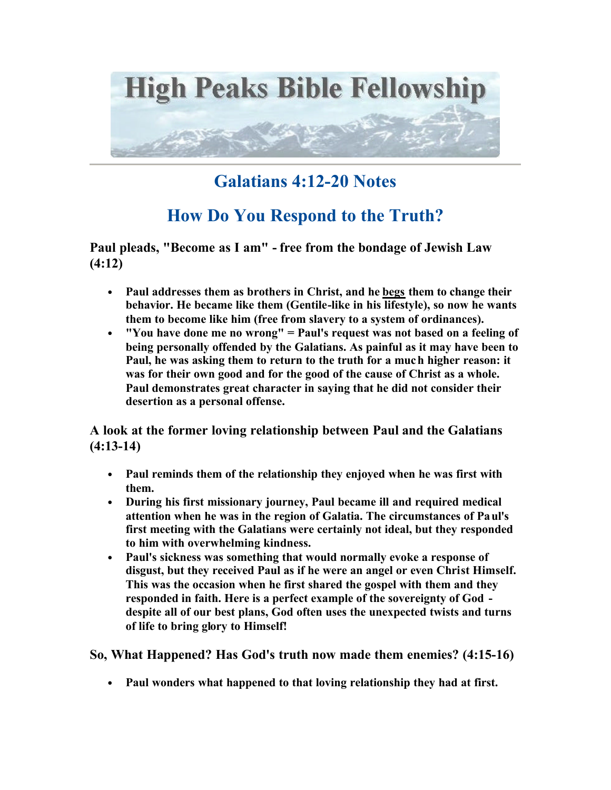

## **Galatians 4:12-20 Notes**

## **How Do You Respond to the Truth?**

**Paul pleads, "Become as I am" - free from the bondage of Jewish Law (4:12)**

- **Paul addresses them as brothers in Christ, and he begs them to change their behavior. He became like them (Gentile-like in his lifestyle), so now he wants them to become like him (free from slavery to a system of ordinances).**
- **"You have done me no wrong" = Paul's request was not based on a feeling of being personally offended by the Galatians. As painful as it may have been to Paul, he was asking them to return to the truth for a much higher reason: it was for their own good and for the good of the cause of Christ as a whole. Paul demonstrates great character in saying that he did not consider their desertion as a personal offense.**

**A look at the former loving relationship between Paul and the Galatians (4:13-14)**

- **Paul reminds them of the relationship they enjoyed when he was first with them.**
- **During his first missionary journey, Paul became ill and required medical attention when he was in the region of Galatia. The circumstances of Paul's first meeting with the Galatians were certainly not ideal, but they responded to him with overwhelming kindness.**
- **Paul's sickness was something that would normally evoke a response of disgust, but they received Paul as if he were an angel or even Christ Himself. This was the occasion when he first shared the gospel with them and they responded in faith. Here is a perfect example of the sovereignty of God despite all of our best plans, God often uses the unexpected twists and turns of life to bring glory to Himself!**

**So, What Happened? Has God's truth now made them enemies? (4:15-16)**

• **Paul wonders what happened to that loving relationship they had at first.**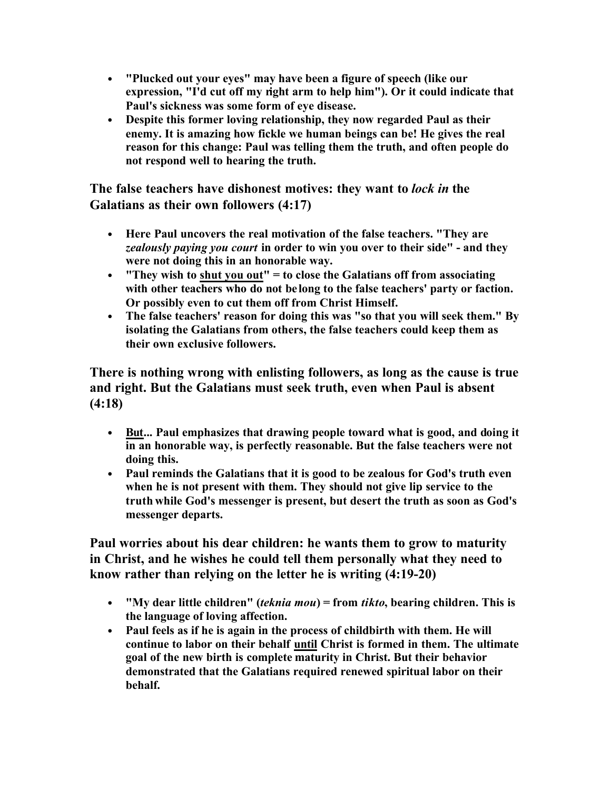- **"Plucked out your eyes" may have been a figure of speech (like our expression, "I'd cut off my right arm to help him"). Or it could indicate that Paul's sickness was some form of eye disease.**
- **Despite this former loving relationship, they now regarded Paul as their enemy. It is amazing how fickle we human beings can be! He gives the real reason for this change: Paul was telling them the truth, and often people do not respond well to hearing the truth.**

**The false teachers have dishonest motives: they want to** *lock in* **the Galatians as their own followers (4:17)**

- **Here Paul uncovers the real motivation of the false teachers. "They are**  *zealously paying you court* **in order to win you over to their side" - and they were not doing this in an honorable way.**
- **"They wish to shut you out" = to close the Galatians off from associating with other teachers who do not belong to the false teachers' party or faction. Or possibly even to cut them off from Christ Himself.**
- **The false teachers' reason for doing this was "so that you will seek them." By isolating the Galatians from others, the false teachers could keep them as their own exclusive followers.**

**There is nothing wrong with enlisting followers, as long as the cause is true and right. But the Galatians must seek truth, even when Paul is absent (4:18)**

- **But... Paul emphasizes that drawing people toward what is good, and doing it in an honorable way, is perfectly reasonable. But the false teachers were not doing this.**
- **Paul reminds the Galatians that it is good to be zealous for God's truth even when he is not present with them. They should not give lip service to the truth while God's messenger is present, but desert the truth as soon as God's messenger departs.**

**Paul worries about his dear children: he wants them to grow to maturity in Christ, and he wishes he could tell them personally what they need to know rather than relying on the letter he is writing (4:19-20)**

- **"My dear little children" (***teknia mou***) = from** *tikto***, bearing children. This is the language of loving affection.**
- **Paul feels as if he is again in the process of childbirth with them. He will continue to labor on their behalf until Christ is formed in them. The ultimate goal of the new birth is complete maturity in Christ. But their behavior demonstrated that the Galatians required renewed spiritual labor on their behalf.**